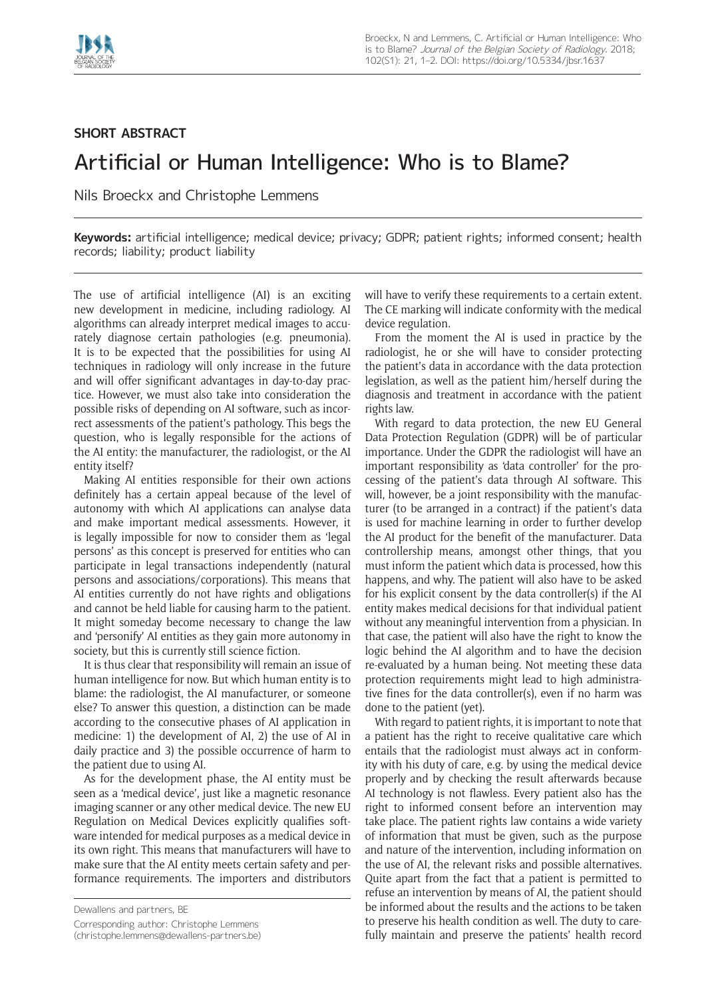

## **SHORT ABSTRACT**

## Artificial or Human Intelligence: Who is to Blame?

Nils Broeckx and Christophe Lemmens

**Keywords:** artificial intelligence; medical device; privacy; GDPR; patient rights; informed consent; health records; liability; product liability

The use of artificial intelligence (AI) is an exciting new development in medicine, including radiology. AI algorithms can already interpret medical images to accurately diagnose certain pathologies (e.g. pneumonia). It is to be expected that the possibilities for using AI techniques in radiology will only increase in the future and will offer significant advantages in day-to-day practice. However, we must also take into consideration the possible risks of depending on AI software, such as incorrect assessments of the patient's pathology. This begs the question, who is legally responsible for the actions of the AI entity: the manufacturer, the radiologist, or the AI entity itself?

Making AI entities responsible for their own actions definitely has a certain appeal because of the level of autonomy with which AI applications can analyse data and make important medical assessments. However, it is legally impossible for now to consider them as 'legal persons' as this concept is preserved for entities who can participate in legal transactions independently (natural persons and associations/corporations). This means that AI entities currently do not have rights and obligations and cannot be held liable for causing harm to the patient. It might someday become necessary to change the law and 'personify' AI entities as they gain more autonomy in society, but this is currently still science fiction.

It is thus clear that responsibility will remain an issue of human intelligence for now. But which human entity is to blame: the radiologist, the AI manufacturer, or someone else? To answer this question, a distinction can be made according to the consecutive phases of AI application in medicine: 1) the development of AI, 2) the use of AI in daily practice and 3) the possible occurrence of harm to the patient due to using AI.

As for the development phase, the AI entity must be seen as a 'medical device', just like a magnetic resonance imaging scanner or any other medical device. The new EU Regulation on Medical Devices explicitly qualifies software intended for medical purposes as a medical device in its own right. This means that manufacturers will have to make sure that the AI entity meets certain safety and performance requirements. The importers and distributors

Dewallens and partners, BE

Corresponding author: Christophe Lemmens

([christophe.lemmens@dewallens-partners.be](mailto:christophe.lemmens@dewallens-partners.be))

will have to verify these requirements to a certain extent. The CE marking will indicate conformity with the medical device regulation.

From the moment the AI is used in practice by the radiologist, he or she will have to consider protecting the patient's data in accordance with the data protection legislation, as well as the patient him/herself during the diagnosis and treatment in accordance with the patient rights law.

With regard to data protection, the new EU General Data Protection Regulation (GDPR) will be of particular importance. Under the GDPR the radiologist will have an important responsibility as 'data controller' for the processing of the patient's data through AI software. This will, however, be a joint responsibility with the manufacturer (to be arranged in a contract) if the patient's data is used for machine learning in order to further develop the AI product for the benefit of the manufacturer. Data controllership means, amongst other things, that you must inform the patient which data is processed, how this happens, and why. The patient will also have to be asked for his explicit consent by the data controller(s) if the AI entity makes medical decisions for that individual patient without any meaningful intervention from a physician. In that case, the patient will also have the right to know the logic behind the AI algorithm and to have the decision re-evaluated by a human being. Not meeting these data protection requirements might lead to high administrative fines for the data controller(s), even if no harm was done to the patient (yet).

With regard to patient rights, it is important to note that a patient has the right to receive qualitative care which entails that the radiologist must always act in conformity with his duty of care, e.g. by using the medical device properly and by checking the result afterwards because AI technology is not flawless. Every patient also has the right to informed consent before an intervention may take place. The patient rights law contains a wide variety of information that must be given, such as the purpose and nature of the intervention, including information on the use of AI, the relevant risks and possible alternatives. Quite apart from the fact that a patient is permitted to refuse an intervention by means of AI, the patient should be informed about the results and the actions to be taken to preserve his health condition as well. The duty to carefully maintain and preserve the patients' health record